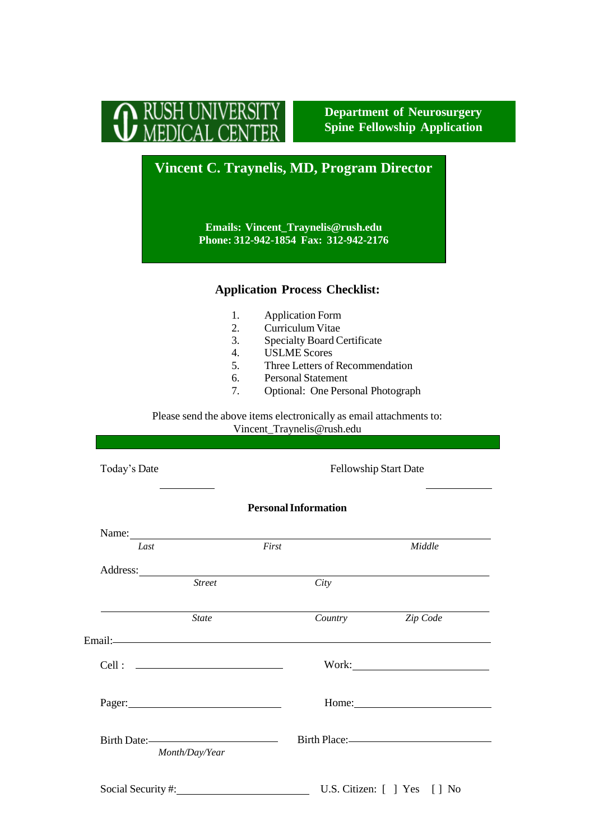

**Department of Neurosurgery Spine Fellowship Application**

## **Vincent C. Traynelis, MD, Program Director**

**Emails: [Vincent\\_Traynelis@rush.edu](mailto:Vincent_Traynelis@rush.edu) Phone: 312-942-1854 Fax: 312-942-2176**

## **Application Process Checklist:**

- 1. Application Form<br>2. Curriculum Vitae
- Curriculum Vitae
- 3. Specialty Board Certificate
- 4. USLME Scores<br>5. Three Letters of
- Three Letters of Recommendation
- 6. Personal Statement<br>7. Optional: One Person
- 7. Optional: One Personal Photograph

Please send the above items electronically as email attachments to: [Vincent\\_Traynelis@rush.edu](mailto:Vincent_Traynelis@rush.edu)

| Today's Date                                                                                                                                                                                                                   |                | Fellowship Start Date                                                                                                                                                                                                                |                       |
|--------------------------------------------------------------------------------------------------------------------------------------------------------------------------------------------------------------------------------|----------------|--------------------------------------------------------------------------------------------------------------------------------------------------------------------------------------------------------------------------------------|-----------------------|
|                                                                                                                                                                                                                                |                | <b>Personal Information</b>                                                                                                                                                                                                          |                       |
|                                                                                                                                                                                                                                |                | Name:                                                                                                                                                                                                                                |                       |
| Last                                                                                                                                                                                                                           |                | First                                                                                                                                                                                                                                | Middle                |
|                                                                                                                                                                                                                                |                | Address: <u>Note</u> 2008. The contract of the contract of the contract of the contract of the contract of the contract of the contract of the contract of the contract of the contract of the contract of the contract of the cont  |                       |
|                                                                                                                                                                                                                                | <b>Street</b>  | City                                                                                                                                                                                                                                 |                       |
|                                                                                                                                                                                                                                | <b>State</b>   | Country                                                                                                                                                                                                                              | Zip Code              |
|                                                                                                                                                                                                                                |                | Email: <u>Andreas and the second contract of the second contract of the second contract of the second contract of the second contract of the second contract of the second contract of the second contract of the second contrac</u> |                       |
|                                                                                                                                                                                                                                |                |                                                                                                                                                                                                                                      |                       |
| Pager: 2008 and 2008 and 2008 and 2008 and 2008 and 2008 and 2008 and 2008 and 2008 and 2008 and 2008 and 2008 and 2008 and 2008 and 2008 and 2008 and 2008 and 2008 and 2008 and 2008 and 2008 and 2008 and 2008 and 2008 and |                |                                                                                                                                                                                                                                      | Home: $\qquad \qquad$ |
| Birth Date:                                                                                                                                                                                                                    | Month/Day/Year |                                                                                                                                                                                                                                      | Birth Place:-         |
|                                                                                                                                                                                                                                |                | Social Security #: U.S. Citizen: [ ] Yes [ ] No                                                                                                                                                                                      |                       |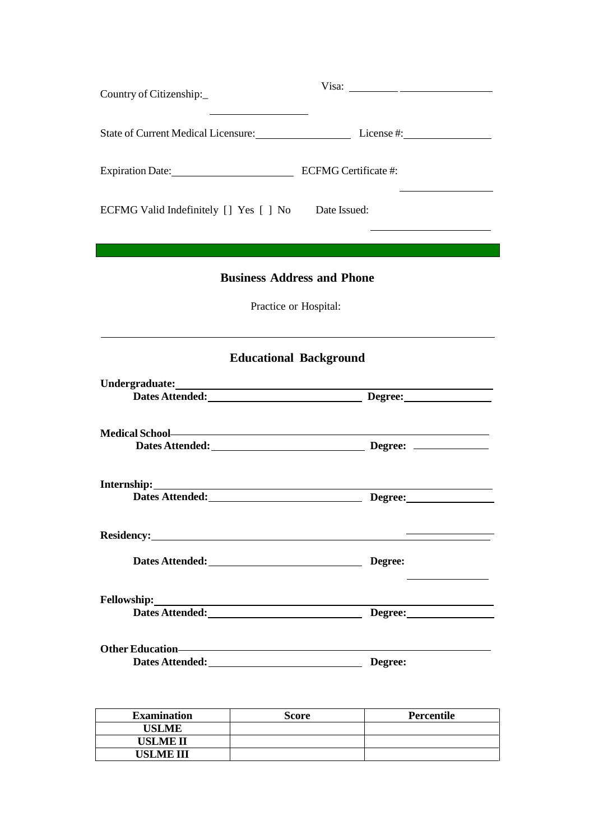| Country of Citizenship:                            |                                                |  |  |  |
|----------------------------------------------------|------------------------------------------------|--|--|--|
|                                                    | State of Current Medical Licensure: License #: |  |  |  |
| Expiration Date: ECFMG Certificate #:              |                                                |  |  |  |
| ECFMG Valid Indefinitely [] Yes [] No Date Issued: |                                                |  |  |  |
|                                                    |                                                |  |  |  |
| <b>Business Address and Phone</b>                  |                                                |  |  |  |
| Practice or Hospital:                              |                                                |  |  |  |
|                                                    |                                                |  |  |  |
|                                                    | <b>Educational Background</b>                  |  |  |  |
|                                                    |                                                |  |  |  |
|                                                    | Dates Attended: Degree: Degree:                |  |  |  |
|                                                    |                                                |  |  |  |
|                                                    | Dates Attended: Degree: Degree: 2020           |  |  |  |
| <u> 1989 - Johann Barn, mars ann an t-</u>         |                                                |  |  |  |
|                                                    |                                                |  |  |  |
|                                                    |                                                |  |  |  |
|                                                    | Degree:                                        |  |  |  |
|                                                    |                                                |  |  |  |
|                                                    | Dates Attended: Degree: Degree:                |  |  |  |
|                                                    |                                                |  |  |  |
| Dates Attended: Degree:                            |                                                |  |  |  |
|                                                    |                                                |  |  |  |
|                                                    |                                                |  |  |  |

| <b>Examination</b> | Score | Percentile |
|--------------------|-------|------------|
| <b>USLME</b>       |       |            |
| USLME II           |       |            |
| USLME III          |       |            |